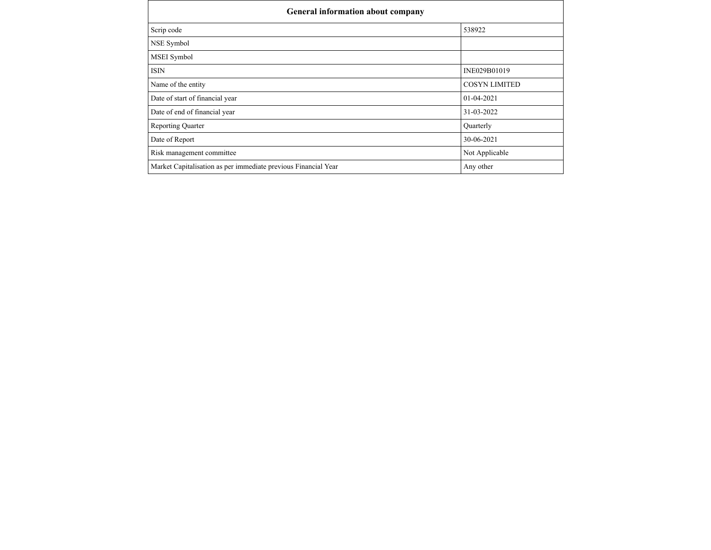| <b>General information about company</b>                       |                      |
|----------------------------------------------------------------|----------------------|
| Scrip code                                                     | 538922               |
| NSE Symbol                                                     |                      |
| MSEI Symbol                                                    |                      |
| ISIN                                                           | INE029B01019         |
| Name of the entity                                             | <b>COSYN LIMITED</b> |
| Date of start of financial year                                | $01 - 04 - 2021$     |
| Date of end of financial year                                  | 31-03-2022           |
| <b>Reporting Quarter</b>                                       | Quarterly            |
| Date of Report                                                 | 30-06-2021           |
| Risk management committee                                      | Not Applicable       |
| Market Capitalisation as per immediate previous Financial Year | Any other            |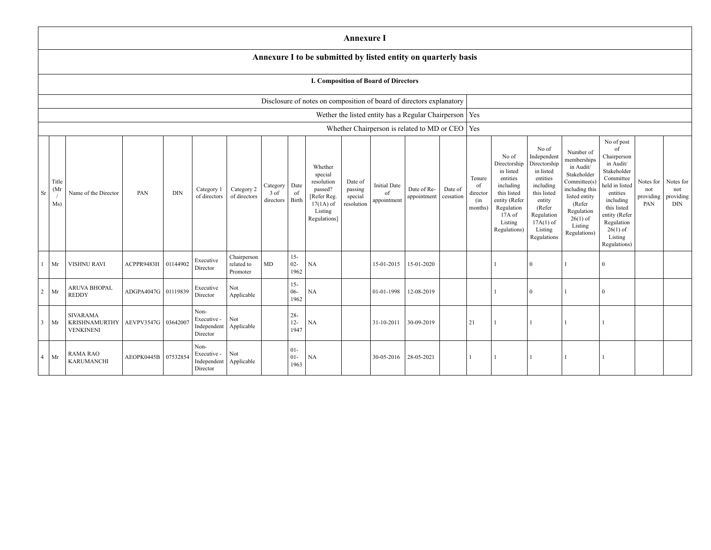|                |                      |                                                      |                     |            |                                                |                                       |                               |                          |                                                                                                      | <b>Annexure I</b>                           |                                          |                                                          |                      |                                            |                                                                                                                                                |                                                                                                                                                                       |                                                                                                                                                                          |                                                                                                                                                                                                            |                                      |                                                  |
|----------------|----------------------|------------------------------------------------------|---------------------|------------|------------------------------------------------|---------------------------------------|-------------------------------|--------------------------|------------------------------------------------------------------------------------------------------|---------------------------------------------|------------------------------------------|----------------------------------------------------------|----------------------|--------------------------------------------|------------------------------------------------------------------------------------------------------------------------------------------------|-----------------------------------------------------------------------------------------------------------------------------------------------------------------------|--------------------------------------------------------------------------------------------------------------------------------------------------------------------------|------------------------------------------------------------------------------------------------------------------------------------------------------------------------------------------------------------|--------------------------------------|--------------------------------------------------|
|                |                      |                                                      |                     |            |                                                |                                       |                               |                          | Annexure I to be submitted by listed entity on quarterly basis                                       |                                             |                                          |                                                          |                      |                                            |                                                                                                                                                |                                                                                                                                                                       |                                                                                                                                                                          |                                                                                                                                                                                                            |                                      |                                                  |
|                |                      |                                                      |                     |            |                                                |                                       |                               |                          |                                                                                                      |                                             | I. Composition of Board of Directors     |                                                          |                      |                                            |                                                                                                                                                |                                                                                                                                                                       |                                                                                                                                                                          |                                                                                                                                                                                                            |                                      |                                                  |
|                |                      |                                                      |                     |            |                                                |                                       |                               |                          | Disclosure of notes on composition of board of directors explanatory                                 |                                             |                                          |                                                          |                      |                                            |                                                                                                                                                |                                                                                                                                                                       |                                                                                                                                                                          |                                                                                                                                                                                                            |                                      |                                                  |
|                |                      |                                                      |                     |            |                                                |                                       |                               |                          |                                                                                                      |                                             |                                          | Wether the listed entity has a Regular Chairperson   Yes |                      |                                            |                                                                                                                                                |                                                                                                                                                                       |                                                                                                                                                                          |                                                                                                                                                                                                            |                                      |                                                  |
|                |                      |                                                      |                     |            |                                                |                                       |                               |                          |                                                                                                      |                                             |                                          | Whether Chairperson is related to MD or CEO   Yes        |                      |                                            |                                                                                                                                                |                                                                                                                                                                       |                                                                                                                                                                          |                                                                                                                                                                                                            |                                      |                                                  |
| Sr             | Title<br>(Mr)<br>Ms) | Name of the Director                                 | PAN                 | <b>DIN</b> | Category 1<br>of directors                     | Category 2<br>of directors            | Category<br>3 of<br>directors | Date<br>of<br>Birth      | Whether<br>special<br>resolution<br>passed?<br>[Refer Reg.<br>$17(1A)$ of<br>Listing<br>Regulations] | Date of<br>passing<br>special<br>resolution | <b>Initial Date</b><br>of<br>appointment | Date of Re-<br>appointment                               | Date of<br>cessation | Tenure<br>of<br>director<br>(in<br>months) | No of<br>Directorship<br>in listed<br>entities<br>including<br>this listed<br>entity (Refer<br>Regulation<br>17A of<br>Listing<br>Regulations) | No of<br>Independent<br>Directorship<br>in listed<br>entities<br>including<br>this listed<br>entity<br>(Refer)<br>Regulation<br>$17A(1)$ of<br>Listing<br>Regulations | Number of<br>memberships<br>in Audit/<br>Stakeholder<br>Committee(s)<br>including this<br>listed entity<br>(Refer<br>Regulation<br>$26(1)$ of<br>Listing<br>Regulations) | No of post<br>of<br>Chairperson<br>in Audit/<br>Stakeholder<br>Committee<br>held in listed<br>entities<br>including<br>this listed<br>entity (Refer<br>Regulation<br>$26(1)$ of<br>Listing<br>Regulations) | Notes for<br>not<br>providing<br>PAN | Notes for<br>not<br>$\,$ providing<br><b>DIN</b> |
|                | Mr                   | <b>VISHNU RAVI</b>                                   | ACPPR9483H          | 01144902   | Executive<br>Director                          | Chairperson<br>related to<br>Promoter | $\rm MD$                      | $15 -$<br>$02 -$<br>1962 | NA                                                                                                   |                                             | 15-01-2015                               | 15-01-2020                                               |                      |                                            |                                                                                                                                                | $\overline{0}$                                                                                                                                                        |                                                                                                                                                                          | $\Omega$                                                                                                                                                                                                   |                                      |                                                  |
| $\overline{2}$ | Mr                   | ARUVA BHOPAL<br><b>REDDY</b>                         | ADGPA4047G 01119839 |            | Executive<br>Director                          | Not<br>Applicable                     |                               | $15 -$<br>$06 -$<br>1962 | <b>NA</b>                                                                                            |                                             | 01-01-1998                               | 12-08-2019                                               |                      |                                            |                                                                                                                                                | $\overline{0}$                                                                                                                                                        |                                                                                                                                                                          | $\Omega$                                                                                                                                                                                                   |                                      |                                                  |
| 3              | Mr                   | <b>SIVARAMA</b><br>KRISHNAMURTHY<br><b>VENKINENI</b> | AEVPV3547G 03642007 |            | Non-<br>Executive -<br>Independent<br>Director | Not<br>Applicable                     |                               | $28 -$<br>$12 -$<br>1947 | <b>NA</b>                                                                                            |                                             | 31-10-2011                               | 30-09-2019                                               |                      | 21                                         |                                                                                                                                                |                                                                                                                                                                       |                                                                                                                                                                          |                                                                                                                                                                                                            |                                      |                                                  |
|                | $4$ Mr               | <b>RAMA RAO</b><br><b>KARUMANCHI</b>                 | AEOPK0445B 07532854 |            | Non-<br>Executive -<br>Independent<br>Director | Not<br>Applicable                     |                               | $01 -$<br>$01 -$<br>1963 | <b>NA</b>                                                                                            |                                             | 30-05-2016                               | 28-05-2021                                               |                      |                                            |                                                                                                                                                |                                                                                                                                                                       |                                                                                                                                                                          |                                                                                                                                                                                                            |                                      |                                                  |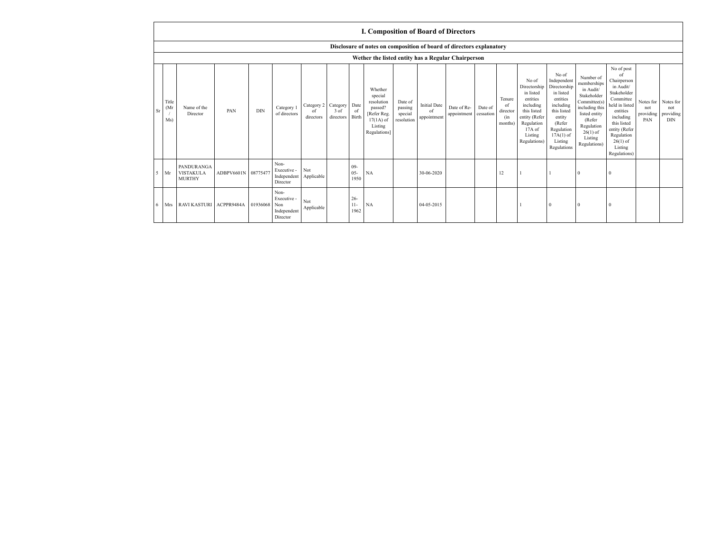|    |                      |                                                 |                     |            |                                                       |                               |                                    |                          | <b>I. Composition of Board of Directors</b>                                                          |                                             |                                          |                            |                      |                                                       |                                                                                                                                                |                                                                                                                                                                      |                                                                                                                                                                          |                                                                                                                                                                                                            |                                      |                                             |
|----|----------------------|-------------------------------------------------|---------------------|------------|-------------------------------------------------------|-------------------------------|------------------------------------|--------------------------|------------------------------------------------------------------------------------------------------|---------------------------------------------|------------------------------------------|----------------------------|----------------------|-------------------------------------------------------|------------------------------------------------------------------------------------------------------------------------------------------------|----------------------------------------------------------------------------------------------------------------------------------------------------------------------|--------------------------------------------------------------------------------------------------------------------------------------------------------------------------|------------------------------------------------------------------------------------------------------------------------------------------------------------------------------------------------------------|--------------------------------------|---------------------------------------------|
|    |                      |                                                 |                     |            |                                                       |                               |                                    |                          | Disclosure of notes on composition of board of directors explanatory                                 |                                             |                                          |                            |                      |                                                       |                                                                                                                                                |                                                                                                                                                                      |                                                                                                                                                                          |                                                                                                                                                                                                            |                                      |                                             |
|    |                      |                                                 |                     |            |                                                       |                               |                                    |                          | Wether the listed entity has a Regular Chairperson                                                   |                                             |                                          |                            |                      |                                                       |                                                                                                                                                |                                                                                                                                                                      |                                                                                                                                                                          |                                                                                                                                                                                                            |                                      |                                             |
| Sr | Title<br>(Mr)<br>Ms) | Name of the<br>Director                         | PAN                 | <b>DIN</b> | Category 1<br>of directors                            | Category 2<br>of<br>directors | Category Date<br>3 of<br>directors | of<br>Birth              | Whether<br>special<br>resolution<br>passed?<br>[Refer Reg.<br>$17(1A)$ of<br>Listing<br>Regulations] | Date of<br>passing<br>special<br>resolution | <b>Initial Date</b><br>of<br>appointment | Date of Re-<br>appointment | Date of<br>cessation | Tenure<br><sup>of</sup><br>director<br>(in<br>months) | No of<br>Directorship<br>in listed<br>entities<br>including<br>this listed<br>entity (Refer<br>Regulation<br>17A of<br>Listing<br>Regulations) | No of<br>Independent<br>Directorship<br>in listed<br>entities<br>including<br>this listed<br>entity<br>(Refer<br>Regulation<br>$17A(1)$ of<br>Listing<br>Regulations | Number of<br>memberships<br>in Audit/<br>Stakeholder<br>Committee(s)<br>including this<br>listed entity<br>(Refer<br>Regulation<br>$26(1)$ of<br>Listing<br>Regulations) | No of post<br>of<br>Chairperson<br>in Audit/<br>Stakeholder<br>Committee<br>held in listed<br>entities<br>including<br>this listed<br>entity (Refer<br>Regulation<br>$26(1)$ of<br>Listing<br>Regulations) | Notes for<br>not<br>providing<br>PAN | Notes for<br>not<br>providing<br><b>DIN</b> |
| 5  | Mr                   | PANDURANGA<br><b>VISTAKULA</b><br><b>MURTHY</b> | ADBPV6601N 08775477 |            | Non-<br>Executive -<br>Independent<br>Director        | Not<br>Applicable             |                                    | $09 -$<br>$05 -$<br>1950 | NA                                                                                                   |                                             | 30-06-2020                               |                            |                      | 12                                                    |                                                                                                                                                |                                                                                                                                                                      | $^{\circ}$                                                                                                                                                               | $\Omega$                                                                                                                                                                                                   |                                      |                                             |
| 6  | Mrs                  | <b>RAVI KASTURI</b>                             | ACPPR9484A          | 01936068   | Non-<br>Executive -<br>Non<br>Independent<br>Director | Not<br>Applicable             |                                    | $26 -$<br>$11 -$<br>1962 | NA                                                                                                   |                                             | 04-05-2015                               |                            |                      |                                                       |                                                                                                                                                | $\theta$                                                                                                                                                             | $\Omega$                                                                                                                                                                 | $\Omega$                                                                                                                                                                                                   |                                      |                                             |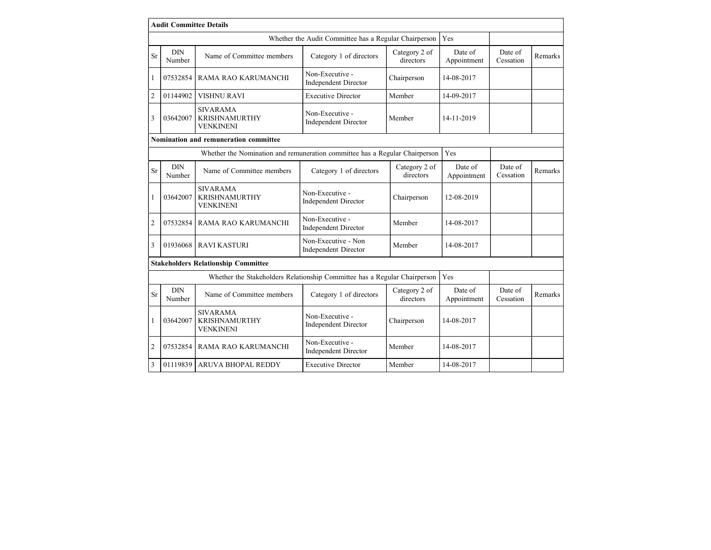|                | <b>Audit Committee Details</b> |                                                                             |                                                       |                            |                        |                      |         |
|----------------|--------------------------------|-----------------------------------------------------------------------------|-------------------------------------------------------|----------------------------|------------------------|----------------------|---------|
|                |                                |                                                                             | Whether the Audit Committee has a Regular Chairperson |                            | Yes                    |                      |         |
| Sr             | <b>DIN</b><br>Number           | Name of Committee members                                                   | Category 1 of directors                               | Category 2 of<br>directors | Date of<br>Appointment | Date of<br>Cessation | Remarks |
| 1              | 07532854                       | RAMA RAO KARUMANCHI                                                         | Non-Executive -<br><b>Independent Director</b>        | Chairperson                | 14-08-2017             |                      |         |
| $\overline{2}$ | 01144902                       | <b>VISHNU RAVI</b>                                                          | <b>Executive Director</b>                             | Member                     | 14-09-2017             |                      |         |
| 3              | 03642007                       | <b>SIVARAMA</b><br><b>KRISHNAMURTHY</b><br><b>VENKINENI</b>                 | Non-Executive -<br><b>Independent Director</b>        | Member                     | 14-11-2019             |                      |         |
|                |                                | Nomination and remuneration committee                                       |                                                       |                            |                        |                      |         |
|                |                                | Whether the Nomination and remuneration committee has a Regular Chairperson |                                                       |                            | Yes                    |                      |         |
| Sr             | <b>DIN</b><br>Number           | Name of Committee members                                                   | Category 1 of directors                               | Category 2 of<br>directors | Date of<br>Appointment | Date of<br>Cessation | Remarks |
| 1              | 03642007                       | <b>SIVARAMA</b><br><b>KRISHNAMURTHY</b><br><b>VENKINENI</b>                 | Non-Executive -<br><b>Independent Director</b>        | Chairperson                | 12-08-2019             |                      |         |
| $\overline{2}$ | 07532854                       | RAMA RAO KARUMANCHI                                                         | Non-Executive -<br><b>Independent Director</b>        | Member                     | 14-08-2017             |                      |         |
| 3              | 01936068                       | <b>RAVI KASTURI</b>                                                         | Non-Executive - Non<br><b>Independent Director</b>    | Member                     | 14-08-2017             |                      |         |
|                |                                | <b>Stakeholders Relationship Committee</b>                                  |                                                       |                            |                        |                      |         |
|                |                                | Whether the Stakeholders Relationship Committee has a Regular Chairperson   |                                                       |                            | Yes                    |                      |         |
| Sr             | <b>DIN</b><br>Number           | Name of Committee members                                                   | Category 1 of directors                               | Category 2 of<br>directors | Date of<br>Appointment | Date of<br>Cessation | Remarks |
| 1              | 03642007                       | <b>SIVARAMA</b><br><b>KRISHNAMURTHY</b><br><b>VENKINENI</b>                 | Non-Executive -<br><b>Independent Director</b>        | Chairperson                | 14-08-2017             |                      |         |
| $\overline{2}$ | 07532854                       | RAMA RAO KARUMANCHI                                                         | Non-Executive -<br><b>Independent Director</b>        | Member                     | 14-08-2017             |                      |         |
| $\overline{3}$ | 01119839                       | <b>ARUVA BHOPAL REDDY</b>                                                   | <b>Executive Director</b>                             | Member                     | 14-08-2017             |                      |         |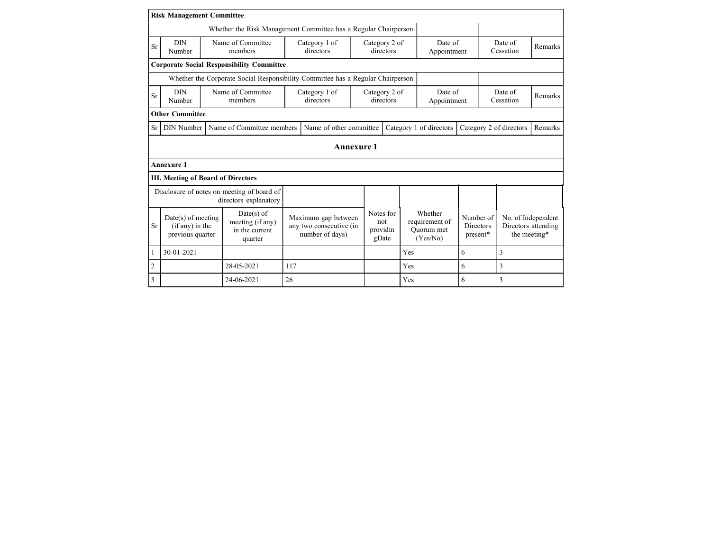|           | <b>Risk Management Committee</b>                                |                                                                                 |                                                                   |                                       |                                                     |                                                |                      |                                           |  |  |  |
|-----------|-----------------------------------------------------------------|---------------------------------------------------------------------------------|-------------------------------------------------------------------|---------------------------------------|-----------------------------------------------------|------------------------------------------------|----------------------|-------------------------------------------|--|--|--|
|           | Whether the Risk Management Committee has a Regular Chairperson |                                                                                 |                                                                   |                                       |                                                     |                                                |                      |                                           |  |  |  |
| <b>Sr</b> | <b>DIN</b><br>Number                                            | Name of Committee<br>members                                                    | Category 1 of<br>directors                                        | Category 2 of<br>directors            | Date of<br>Appointment                              |                                                | Date of<br>Cessation | Remarks                                   |  |  |  |
|           |                                                                 | <b>Corporate Social Responsibility Committee</b>                                |                                                                   |                                       |                                                     |                                                |                      |                                           |  |  |  |
|           |                                                                 | Whether the Corporate Social Responsibility Committee has a Regular Chairperson |                                                                   |                                       |                                                     |                                                |                      |                                           |  |  |  |
| Sr        | <b>DIN</b><br>Number                                            | Name of Committee<br>members                                                    | Category 1 of<br>directors                                        | Category 2 of<br>directors            |                                                     | Date of<br>Date of<br>Cessation<br>Appointment |                      | Remarks                                   |  |  |  |
|           | <b>Other Committee</b>                                          |                                                                                 |                                                                   |                                       |                                                     |                                                |                      |                                           |  |  |  |
| <b>Sr</b> | <b>DIN</b> Number                                               | Name of Committee members                                                       | Name of other committee                                           |                                       | Category 1 of directors                             | Category 2 of directors                        |                      | Remarks                                   |  |  |  |
|           |                                                                 |                                                                                 |                                                                   |                                       |                                                     |                                                |                      |                                           |  |  |  |
|           | <b>Annexure 1</b>                                               |                                                                                 | <b>Annexure 1</b>                                                 |                                       |                                                     |                                                |                      |                                           |  |  |  |
|           |                                                                 | <b>III. Meeting of Board of Directors</b>                                       |                                                                   |                                       |                                                     |                                                |                      |                                           |  |  |  |
|           |                                                                 | Disclosure of notes on meeting of board of<br>directors explanatory             |                                                                   |                                       |                                                     |                                                |                      |                                           |  |  |  |
| <b>Sr</b> | $Date(s)$ of meeting<br>(if any) in the<br>previous quarter     | $Date(s)$ of<br>meeting (if any)<br>in the current<br>quarter                   | Maximum gap between<br>any two consecutive (in<br>number of days) | Notes for<br>not<br>providin<br>gDate | Whether<br>requirement of<br>Ouorum met<br>(Yes/No) | Number of<br>Directors<br>present*             | the meeting*         | No. of Independent<br>Directors attending |  |  |  |
|           | 30-01-2021                                                      |                                                                                 |                                                                   |                                       | Yes                                                 | 6                                              | 3                    |                                           |  |  |  |
| 2         |                                                                 | 28-05-2021                                                                      | 117                                                               |                                       | Yes                                                 | 6                                              | 3                    |                                           |  |  |  |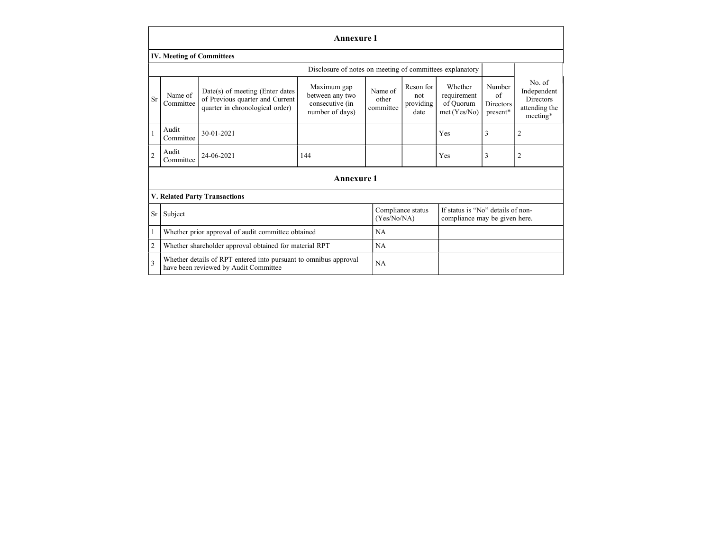|                |                                  |                                                                                                           | <b>Annexure 1</b>                                                    |                               |                                       |                                                                    |                                       |                                                                 |
|----------------|----------------------------------|-----------------------------------------------------------------------------------------------------------|----------------------------------------------------------------------|-------------------------------|---------------------------------------|--------------------------------------------------------------------|---------------------------------------|-----------------------------------------------------------------|
|                | <b>IV. Meeting of Committees</b> |                                                                                                           |                                                                      |                               |                                       |                                                                    |                                       |                                                                 |
|                |                                  |                                                                                                           | Disclosure of notes on meeting of committees explanatory             |                               |                                       |                                                                    |                                       |                                                                 |
| <b>Sr</b>      | Name of<br>Committee             | Date(s) of meeting (Enter dates<br>of Previous quarter and Current<br>quarter in chronological order)     | Maximum gap<br>between any two<br>consecutive (in<br>number of days) | Name of<br>other<br>committee | Reson for<br>not<br>providing<br>date | Whether<br>requirement<br>of Quorum<br>met (Yes/No)                | Number<br>of<br>Directors<br>present* | No. of<br>Independent<br>Directors<br>attending the<br>meeting* |
|                | Audit<br>Committee               | 30-01-2021                                                                                                |                                                                      |                               |                                       | Yes                                                                | 3                                     | 2                                                               |
| 2              | Audit<br>Committee               | 24-06-2021                                                                                                | 144                                                                  |                               |                                       | Yes                                                                | 3                                     | 2                                                               |
|                |                                  |                                                                                                           | <b>Annexure 1</b>                                                    |                               |                                       |                                                                    |                                       |                                                                 |
|                |                                  | V. Related Party Transactions                                                                             |                                                                      |                               |                                       |                                                                    |                                       |                                                                 |
|                | Sr Subject                       |                                                                                                           |                                                                      | (Yes/No/NA)                   | Compliance status                     | If status is "No" details of non-<br>compliance may be given here. |                                       |                                                                 |
|                |                                  | Whether prior approval of audit committee obtained                                                        |                                                                      | NA                            |                                       |                                                                    |                                       |                                                                 |
| $\overline{2}$ |                                  | Whether shareholder approval obtained for material RPT                                                    |                                                                      | <b>NA</b>                     |                                       |                                                                    |                                       |                                                                 |
| 3              |                                  | Whether details of RPT entered into pursuant to omnibus approval<br>have been reviewed by Audit Committee |                                                                      | NA                            |                                       |                                                                    |                                       |                                                                 |